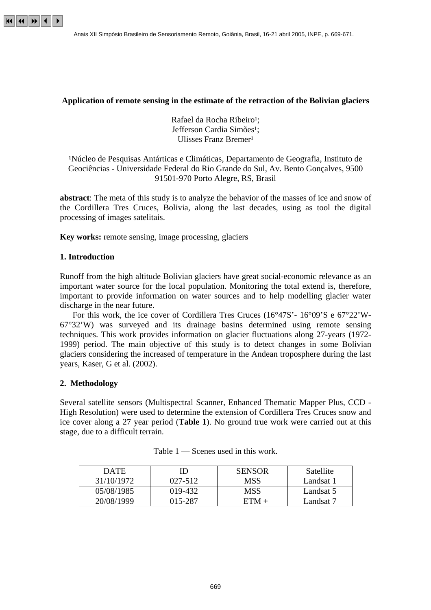

# **Application of remote sensing in the estimate of the retraction of the Bolivian glaciers**

Rafael da Rocha Ribeiro<sup>1</sup>: Jefferson Cardia Simões<sup>1</sup>; Ulisses Franz Bremer<sup>1</sup>

¹Núcleo de Pesquisas Antárticas e Climáticas, Departamento de Geografia, Instituto de Geociências - Universidade Federal do Rio Grande do Sul, Av. Bento Gonçalves, 9500 91501-970 Porto Alegre, RS, Brasil

**abstract**: The meta of this study is to analyze the behavior of the masses of ice and snow of the Cordillera Tres Cruces, Bolivia, along the last decades, using as tool the digital processing of images satelitais.

**Key works:** remote sensing, image processing, glaciers

# **1. Introduction**

Runoff from the high altitude Bolivian glaciers have great social-economic relevance as an important water source for the local population. Monitoring the total extend is, therefore, important to provide information on water sources and to help modelling glacier water discharge in the near future.

 For this work, the ice cover of Cordillera Tres Cruces (16°47S'- 16°09'S e 67°22'W-67°32'W) was surveyed and its drainage basins determined using remote sensing techniques. This work provides information on glacier fluctuations along 27-years (1972- 1999) period. The main objective of this study is to detect changes in some Bolivian glaciers considering the increased of temperature in the Andean troposphere during the last years, Kaser, G et al. (2002).

#### **2. Methodology**

Several satellite sensors (Multispectral Scanner, Enhanced Thematic Mapper Plus, CCD - High Resolution) were used to determine the extension of Cordillera Tres Cruces snow and ice cover along a 27 year period (**Table 1**). No ground true work were carried out at this stage, due to a difficult terrain.

| <b>DATE</b> |         | <b>SENSOR</b> | Satellite |
|-------------|---------|---------------|-----------|
| 31/10/1972  | 027-512 | MSS           | Landsat 1 |
| 05/08/1985  | 019-432 | MSS           | Landsat 5 |
| 20/08/1999  | 015-287 | $ETM +$       | Landsat 7 |

Table 1 — Scenes used in this work.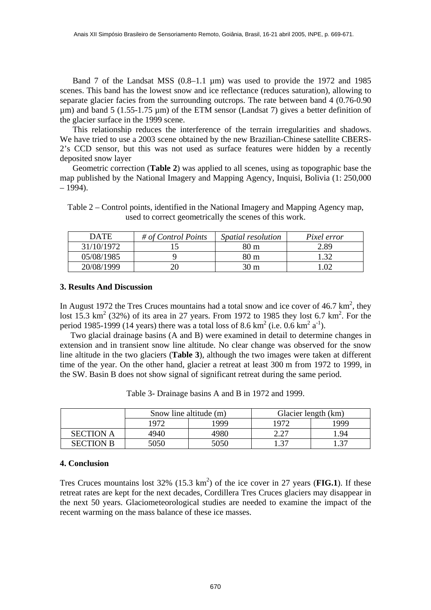Band 7 of the Landsat MSS (0.8–1.1 µm) was used to provide the 1972 and 1985 scenes. This band has the lowest snow and ice reflectance (reduces saturation), allowing to separate glacier facies from the surrounding outcrops. The rate between band 4 (0.76-0.90 µm) and band 5 (1.55-1.75 µm) of the ETM sensor (Landsat 7) gives a better definition of the glacier surface in the 1999 scene.

 This relationship reduces the interference of the terrain irregularities and shadows. We have tried to use a 2003 scene obtained by the new Brazilian-Chinese satellite CBERS-2's CCD sensor, but this was not used as surface features were hidden by a recently deposited snow layer

 Geometric correction (**Table 2**) was applied to all scenes, using as topographic base the map published by the National Imagery and Mapping Agency, Inquisi, Bolivia (1: 250,000  $-1994$ ).

Table 2 – Control points, identified in the National Imagery and Mapping Agency map, used to correct geometrically the scenes of this work.

| <b>DATE</b> | # of Control Points | <i>Spatial resolution</i> | Pixel error |
|-------------|---------------------|---------------------------|-------------|
| 31/10/1972  |                     | 80 m                      | 2.89        |
| 05/08/1985  |                     | 80 m                      | - 20        |
| 20/08/1999  |                     | $30 \text{ m}$            | .02         |

### **3. Results And Discussion**

In August 1972 the Tres Cruces mountains had a total snow and ice cover of 46.7  $\text{km}^2$ , they lost  $15.3 \text{ km}^2$  (32%) of its area in 27 years. From 1972 to 1985 they lost 6.7 km<sup>2</sup>. For the period 1985-1999 (14 years) there was a total loss of 8.6 km<sup>2</sup> (i.e. 0.6 km<sup>2</sup> a<sup>-1</sup>).

 Two glacial drainage basins (A and B) were examined in detail to determine changes in extension and in transient snow line altitude. No clear change was observed for the snow line altitude in the two glaciers (**Table 3**), although the two images were taken at different time of the year. On the other hand, glacier a retreat at least 300 m from 1972 to 1999, in the SW. Basin B does not show signal of significant retreat during the same period.

|                  | Snow line altitude (m) |      | Glacier length (km) |            |
|------------------|------------------------|------|---------------------|------------|
|                  | 1972                   | 1999 | 1972                | <b>999</b> |
| <b>SECTION A</b> | 4940                   | 4980 | דר ר                | .94        |
| <b>SECTION B</b> | 5050                   | 5050 |                     | -37        |

Table 3- Drainage basins A and B in 1972 and 1999.

### **4. Conclusion**

Tres Cruces mountains lost  $32\%$   $(15.3 \text{ km}^2)$  of the ice cover in 27 years (FIG.1). If these retreat rates are kept for the next decades, Cordillera Tres Cruces glaciers may disappear in the next 50 years. Glaciometeorological studies are needed to examine the impact of the recent warming on the mass balance of these ice masses.